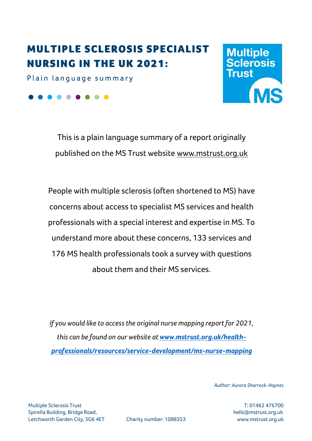# **MULTIPLE SCLEROSIS SPECIALIST NURSING IN THE UK 2021:**

Plain language summary

. . . . .

**Multiple<br>Sclerosis** Trust

This is a plain language summary of a report originally published on the MS Trust website [www.mstrust.org.uk](http://www.msteust.org.uk/)

People with multiple sclerosis (often shortened to MS) have concerns about access to specialist MS services and health professionals with a special interest and expertise in MS. To understand more about these concerns, 133 services and 176 MS health professionals took a survey with questions about them and their MS services.

*If you would like to access the original nurse mapping report for 2021, this can be found on our website at [www.mstrust.org.uk/health](http://www.mstrust.org.uk/health-professionals/resources/service-development/ms-nurse-mapping)[professionals/resources/service-development/ms-nurse-mapping](http://www.mstrust.org.uk/health-professionals/resources/service-development/ms-nurse-mapping)*

*Author: Aurora Sharrock-Haynes*

Multiple Sclerosis Trust T: 01462 476700 Spirella Building, Bridge Road, hello@mstrust.org.uk Letchworth Garden City, SG6 4ET Charity number: 1088353 www.mstrust.org.uk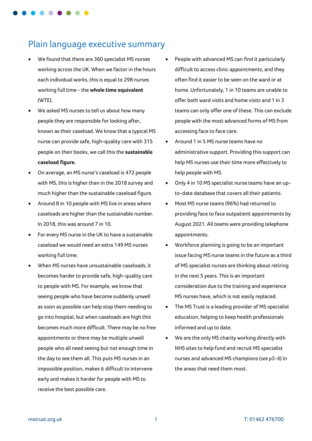

# Plain language executive summary

- We found that there are 360 specialist MS nurses working across the UK. When we factor in the hours each individual works, this is equal to 298 nurses working full time - the **whole time equivalent** (WTE).
- We asked MS nurses to tell us about how many people they are responsible for looking after, known as their caseload. We know that a typical MS nurse can provide safe, high-quality care with 315 people on their books, we call this the **sustainable caseload figure**.
- On average, an MS nurse's caseload is 472 people with MS, this is higher than in the 2018 survey and much higher than the sustainable caseload figure.
- Around 8 in 10 people with MS live in areas where caseloads are higher than the sustainable number. In 2018, this was around 7 in 10.
- For every MS nurse in the UK to have a sustainable caseload we would need an extra 149 MS nurses working full time.
- When MS nurses have unsustainable caseloads, it becomes harder to provide safe, high-quality care to people with MS. For example, we know that seeing people who have become suddenly unwell as soon as possible can help stop them needing to go into hospital, but when caseloads are high this becomes much more difficult. There may be no free appointments or there may be multiple unwell people who all need seeing but not enough time in the day to see them all. This puts MS nurses in an impossible position, makes it difficult to intervene early and makes it harder for people with MS to receive the best possible care.
- People with advanced MS can find it particularly difficult to access clinic appointments, and they often find it easier to be seen on the ward or at home. Unfortunately, 1 in 10 teams are unable to offer both ward visits and home visits and 1 in 3 teams can only offer one of these. This can exclude people with the most advanced forms of MS from accessing face to face care.
- Around 1 in 5 MS nurse teams have no administrative support. Providing this support can help MS nurses use their time more effectively to help people with MS.
- Only 4 in 10 MS specialist nurse teams have an upto-date database that covers all their patients.
- Most MS nurse teams (96%) had returned to providing face to face outpatient appointments by August 2021. All teams were providing telephone appointments.
- Workforce planning is going to be an important issue facing MS nurse teams in the future as a third of MS specialist nurses are thinking about retiring in the next 5 years. This is an important consideration due to the training and experience MS nurses have, which is not easily replaced.
- The MS Trust is a leading provider of MS specialist education, helping to keep health professionals informed and up to date.
- We are the only MS charity working directly with NHS sites to help fund and recruit MS specialist nurses and advanced MS champions (*see p5-6*) in the areas that need them most.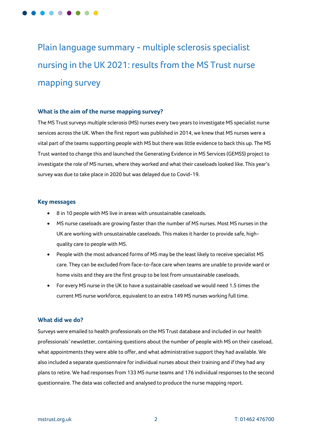Plain language summary - multiple sclerosis specialist nursing in the UK 2021: results from the MS Trust nurse mapping survey

# **What is the aim of the nurse mapping survey?**

The MS Trust surveys multiple sclerosis (MS) nurses every two years to investigate MS specialist nurse services across the UK. When the first report was published in 2014, we knew that MS nurses were a vital part of the teams supporting people with MS but there was little evidence to back this up. The MS Trust wanted to change this and launched the Generating Evidence in MS Services (GEMSS) project to investigate the role of MS nurses, where they worked and what their caseloads looked like. This year's survey was due to take place in 2020 but was delayed due to Covid-19.

# **Key messages**

- 8 in 10 people with MS live in areas with unsustainable caseloads.
- MS nurse caseloads are growing faster than the number of MS nurses. Most MS nurses in the UK are working with unsustainable caseloads. This makes it harder to provide safe, highquality care to people with MS.
- People with the most advanced forms of MS may be the least likely to receive specialist MS care. They can be excluded from face-to-face care when teams are unable to provide ward or home visits and they are the first group to be lost from unsustainable caseloads.
- For every MS nurse in the UK to have a sustainable caseload we would need 1.5 times the current MS nurse workforce, equivalent to an extra 149 MS nurses working full time.

# **What did we do?**

Surveys were emailed to health professionals on the MS Trust database and included in our health professionals' newsletter, containing questions about the number of people with MS on their caseload, what appointments they were able to offer, and what administrative support they had available. We also included a separate questionnaire for individual nurses about their training and if they had any plans to retire. We had responses from 133 MS nurse teams and 176 individual responses to the second questionnaire. The data was collected and analysed to produce the nurse mapping report.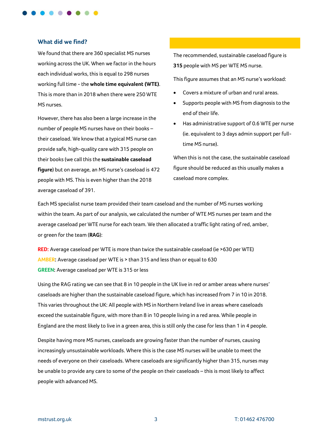

#### **What did we find?**

We found that there are 360 specialist MS nurses working across the UK. When we factor in the hours each individual works, this is equal to 298 nurses working full time - the **whole time equivalent (WTE)**. This is more than in 2018 when there were 250 WTE MS nurses.

However, there has also been a large increase in the number of people MS nurses have on their books – their caseload. We know that a typical MS nurse can provide safe, high-quality care with 315 people on their books (we call this the **sustainable caseload figure**) but on average, an MS nurse's caseload is 472 people with MS. This is even higher than the 2018 average caseload of 391.

The recommended, sustainable caseload figure is **315** people with MS per WTE MS nurse.

This figure assumes that an MS nurse's workload:

- Covers a mixture of urban and rural areas.
- Supports people with MS from diagnosis to the end of their life.
- Has administrative support of 0.6 WTE per nurse (ie. equivalent to 3 days admin support per fulltime MS nurse).

When this is not the case, the sustainable caseload figure should be reduced as this usually makes a caseload more complex.

Each MS specialist nurse team provided their team caseload and the number of MS nurses working within the team. As part of our analysis, we calculated the number of WTE MS nurses per team and the average caseload per WTE nurse for each team. We then allocated a traffic light rating of red, amber, or green for the team (**RAG**):

**RED:** Average caseload per WTE is more than twice the sustainable caseload (ie >630 per WTE) **AMBER:** Average caseload per WTE is > than 315 and less than or equal to 630 **GREEN:** Average caseload per WTE is 315 or less

Using the RAG rating we can see that 8 in 10 people in the UK live in red or amber areas where nurses' caseloads are higher than the sustainable caseload figure, which has increased from 7 in 10 in 2018. This varies throughout the UK: All people with MS in Northern Ireland live in areas where caseloads exceed the sustainable figure, with more than 8 in 10 people living in a red area. While people in England are the most likely to live in a green area, this is still only the case for less than 1 in 4 people.

Despite having more MS nurses, caseloads are growing faster than the number of nurses, causing increasingly unsustainable workloads. Where this is the case MS nurses will be unable to meet the needs of everyone on their caseloads. Where caseloads are significantly higher than 315, nurses may be unable to provide any care to some of the people on their caseloads – this is most likely to affect people with advanced MS.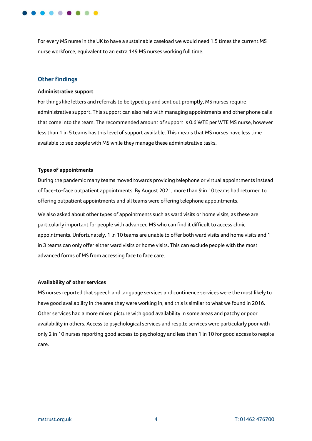

For every MS nurse in the UK to have a sustainable caseload we would need 1.5 times the current MS nurse workforce, equivalent to an extra 149 MS nurses working full time.

# **Other findings**

#### **Administrative support**

For things like letters and referrals to be typed up and sent out promptly, MS nurses require administrative support. This support can also help with managing appointments and other phone calls that come into the team. The recommended amount of support is 0.6 WTE per WTE MS nurse, however less than 1 in 5 teams has this level of support available. This means that MS nurses have less time available to see people with MS while they manage these administrative tasks.

#### **Types of appointments**

During the pandemic many teams moved towards providing telephone or virtual appointments instead of face-to-face outpatient appointments. By August 2021, more than 9 in 10 teams had returned to offering outpatient appointments and all teams were offering telephone appointments.

We also asked about other types of appointments such as ward visits or home visits, as these are particularly important for people with advanced MS who can find it difficult to access clinic appointments. Unfortunately, 1 in 10 teams are unable to offer both ward visits and home visits and 1 in 3 teams can only offer either ward visits or home visits. This can exclude people with the most advanced forms of MS from accessing face to face care.

#### **Availability of other services**

MS nurses reported that speech and language services and continence services were the most likely to have good availability in the area they were working in, and this is similar to what we found in 2016. Other services had a more mixed picture with good availability in some areas and patchy or poor availability in others. Access to psychological services and respite services were particularly poor with only 2 in 10 nurses reporting good access to psychology and less than 1 in 10 for good access to respite care.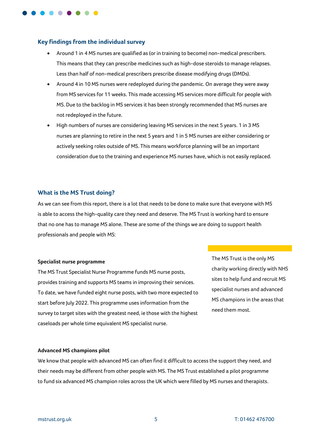# **Key findings from the individual survey**

- Around 1 in 4 MS nurses are qualified as (or in training to become) non-medical prescribers. This means that they can prescribe medicines such as high-dose steroids to manage relapses. Less than half of non-medical prescribers prescribe disease modifying drugs (DMDs).
- Around 4 in 10 MS nurses were redeployed during the pandemic. On average they were away from MS services for 11 weeks. This made accessing MS services more difficult for people with MS. Due to the backlog in MS services it has been strongly recommended that MS nurses are not redeployed in the future.
- High numbers of nurses are considering leaving MS services in the next 5 years. 1 in 3 MS nurses are planning to retire in the next 5 years and 1 in 5 MS nurses are either considering or actively seeking roles outside of MS. This means workforce planning will be an important consideration due to the training and experience MS nurses have, which is not easily replaced.

#### **What is the MS Trust doing?**

As we can see from this report, there is a lot that needs to be done to make sure that everyone with MS is able to access the high-quality care they need and deserve. The MS Trust is working hard to ensure that no one has to manage MS alone. These are some of the things we are doing to support health professionals and people with MS:

#### **Specialist nurse programme**

The MS Trust Specialist Nurse Programme funds MS nurse posts, provides training and supports MS teams in improving their services. To date, we have funded eight nurse posts, with two more expected to start before July 2022. This programme uses information from the survey to target sites with the greatest need, ie those with the highest caseloads per whole time equivalent MS specialist nurse.

The MS Trust is the only MS charity working directly with NHS sites to help fund and recruit MS specialist nurses and advanced MS champions in the areas that need them most.

#### **Advanced MS champions pilot**

We know that people with advanced MS can often find it difficult to access the support they need, and their needs may be different from other people with MS. The MS Trust established a pilot programme to fund six advanced MS champion roles across the UK which were filled by MS nurses and therapists.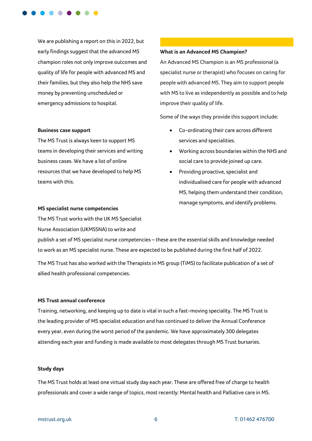

We are publishing a report on this in 2022, but early findings suggest that the advanced MS champion roles not only improve outcomes and quality of life for people with advanced MS and their families, but they also help the NHS save money by preventing unscheduled or emergency admissions to hospital.

#### **Business case support**

The MS Trust is always keen to support MS teams in developing their services and writing business cases. We have a list of online resources that we have developed to help MS teams with this.

#### **What is an Advanced MS Champion?**

An Advanced MS Champion is an MS professional (a specialist nurse or therapist) who focuses on caring for people with advanced MS. They aim to support people with MS to live as independently as possible and to help improve their quality of life.

Some of the ways they provide this support include:

- Co-ordinating their care across different services and specialities.
- Working across boundaries within the NHS and social care to provide joined up care.
- Providing proactive, specialist and individualised care for people with advanced MS, helping them understand their condition, manage symptoms, and identify problems.

#### **MS specialist nurse competencies**

The MS Trust works with the UK MS Specialist Nurse Association (UKMSSNA) to write and

publish a set of MS specialist nurse competencies – these are the essential skills and knowledge needed to work as an MS specialist nurse. These are expected to be published during the first half of 2022.

The MS Trust has also worked with the Therapists in MS group (TiMS) to facilitate publication of a set of allied health professional competencies.

## **MS Trust annual conference**

Training, networking, and keeping up to date is vital in such a fast-moving speciality. The MS Trust is the leading provider of MS specialist education and has continued to deliver the Annual Conference every year, even during the worst period of the pandemic. We have approximately 300 delegates attending each year and funding is made available to most delegates through MS Trust bursaries.

#### **Study days**

The MS Trust holds at least one virtual study day each year. These are offered free of charge to health professionals and cover a wide range of topics, most recently: Mental health and Palliative care in MS.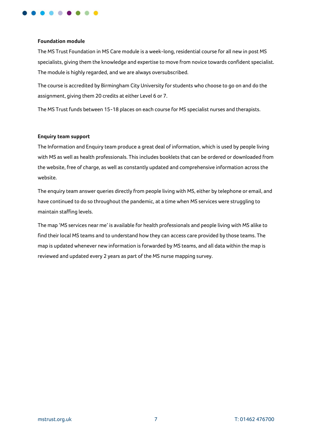

#### **Foundation module**

The MS Trust Foundation in MS Care module is a week-long, residential course for all new in post MS specialists, giving them the knowledge and expertise to move from novice towards confident specialist. The module is highly regarded, and we are always oversubscribed.

The course is accredited by Birmingham City University for students who choose to go on and do the assignment, giving them 20 credits at either Level 6 or 7.

The MS Trust funds between 15-18 places on each course for MS specialist nurses and therapists.

# **Enquiry team support**

The Information and Enquiry team produce a great deal of information, which is used by people living with MS as well as health professionals. This includes booklets that can be ordered or downloaded from the website, free of charge, as well as constantly updated and comprehensive information across the website.

The enquiry team answer queries directly from people living with MS, either by telephone or email, and have continued to do so throughout the pandemic, at a time when MS services were struggling to maintain staffing levels.

The map 'MS services near me' is available for health professionals and people living with MS alike to find their local MS teams and to understand how they can access care provided by those teams. The map is updated whenever new information is forwarded by MS teams, and all data within the map is reviewed and updated every 2 years as part of the MS nurse mapping survey.